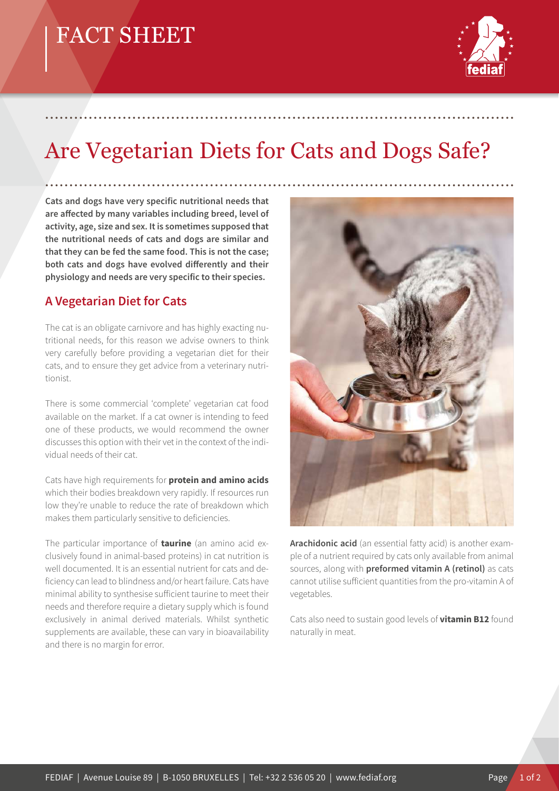## FACT SHEET



# Are Vegetarian Diets for Cats and Dogs Safe?

.................................................................................................

**Cats and dogs have very specific nutritional needs that**  are affected by many variables including breed, level of **activity, age, size and sex. It is sometimes supposed that the nutritional needs of cats and dogs are similar and that they can be fed the same food. This is not the case;**  both cats and dogs have evolved differently and their **physiology and needs are very specific to their species.**

#### **A Vegetarian Diet for Cats**

The cat is an obligate carnivore and has highly exacting nutritional needs, for this reason we advise owners to think very carefully before providing a vegetarian diet for their cats, and to ensure they get advice from a veterinary nutritionist.

There is some commercial 'complete' vegetarian cat food available on the market. If a cat owner is intending to feed one of these products, we would recommend the owner discusses this option with their vet in the context of the individual needs of their cat.

Cats have high requirements for **protein and amino acids**  which their bodies breakdown very rapidly. If resources run low they're unable to reduce the rate of breakdown which makes them particularly sensitive to deficiencies.

The particular importance of **taurine** (an amino acid exclusively found in animal-based proteins) in cat nutrition is well documented. It is an essential nutrient for cats and deficiency can lead to blindness and/or heart failure. Cats have minimal ability to synthesise sufficient taurine to meet their needs and therefore require a dietary supply which is found exclusively in animal derived materials. Whilst synthetic supplements are available, these can vary in bioavailability and there is no margin for error.



**Arachidonic acid** (an essential fatty acid) is another example of a nutrient required by cats only available from animal sources, along with **preformed vitamin A (retinol)** as cats cannot utilise sufficient quantities from the pro-vitamin A of vegetables.

Cats also need to sustain good levels of **vitamin B12** found naturally in meat.